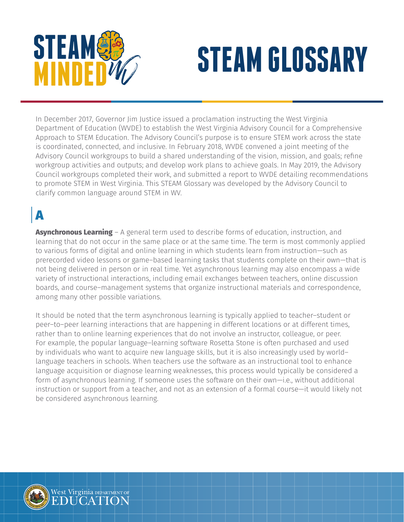

# **STEAM STEAM GLOSSARY**

In December 2017, Governor Jim Justice issued a proclamation instructing the West Virginia Department of Education (WVDE) to establish the West Virginia Advisory Council for a Comprehensive Approach to STEM Education. The Advisory Council's purpose is to ensure STEM work across the state is coordinated, connected, and inclusive. In February 2018, WVDE convened a joint meeting of the Advisory Council workgroups to build a shared understanding of the vision, mission, and goals; refine workgroup activities and outputs; and develop work plans to achieve goals. In May 2019, the Advisory Council workgroups completed their work, and submitted a report to WVDE detailing recommendations to promote STEM in West Virginia. This STEAM Glossary was developed by the Advisory Council to clarify common language around STEM in WV.

# A

**Asynchronous Learning** – A general term used to describe forms of education, instruction, and learning that do not occur in the same place or at the same time. The term is most commonly applied to various forms of digital and online learning in which students learn from instruction—such as prerecorded video lessons or game–based learning tasks that students complete on their own—that is not being delivered in person or in real time. Yet asynchronous learning may also encompass a wide variety of instructional interactions, including email exchanges between teachers, online discussion boards, and course–management systems that organize instructional materials and correspondence, among many other possible variations.

It should be noted that the term asynchronous learning is typically applied to teacher–student or peer–to–peer learning interactions that are happening in different locations or at different times, rather than to online learning experiences that do not involve an instructor, colleague, or peer. For example, the popular language–learning software Rosetta Stone is often purchased and used by individuals who want to acquire new language skills, but it is also increasingly used by world– language teachers in schools. When teachers use the software as an instructional tool to enhance language acquisition or diagnose learning weaknesses, this process would typically be considered a form of asynchronous learning. If someone uses the software on their own—i.e., without additional instruction or support from a teacher, and not as an extension of a formal course—it would likely not be considered asynchronous learning.

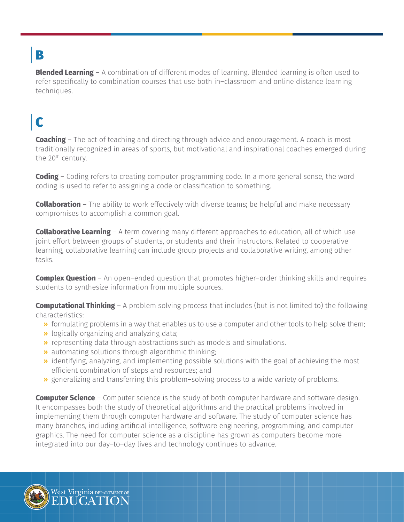# B

**Blended Learning** – A combination of different modes of learning. Blended learning is often used to refer specifically to combination courses that use both in–classroom and online distance learning techniques.

# C

**Coaching** – The act of teaching and directing through advice and encouragement. A coach is most traditionally recognized in areas of sports, but motivational and inspirational coaches emerged during the 20<sup>th</sup> century.

**Coding** – Coding refers to creating computer programming code. In a more general sense, the word coding is used to refer to assigning a code or classification to something.

**Collaboration** – The ability to work effectively with diverse teams; be helpful and make necessary compromises to accomplish a common goal.

**Collaborative Learning** – A term covering many different approaches to education, all of which use joint effort between groups of students, or students and their instructors. Related to cooperative learning, collaborative learning can include group projects and collaborative writing, among other tasks.

**Complex Question** – An open–ended question that promotes higher–order thinking skills and requires students to synthesize information from multiple sources.

**Computational Thinking** – A problem solving process that includes (but is not limited to) the following characteristics:

- » formulating problems in a way that enables us to use a computer and other tools to help solve them;
- » logically organizing and analyzing data;
- » representing data through abstractions such as models and simulations.
- » automating solutions through algorithmic thinking;
- » identifying, analyzing, and implementing possible solutions with the goal of achieving the most efficient combination of steps and resources; and
- » generalizing and transferring this problem–solving process to a wide variety of problems.

**Computer Science** – Computer science is the study of both computer hardware and software design. It encompasses both the study of theoretical algorithms and the practical problems involved in implementing them through computer hardware and software. The study of computer science has many branches, including artificial intelligence, software engineering, programming, and computer graphics. The need for computer science as a discipline has grown as computers become more integrated into our day–to–day lives and technology continues to advance.

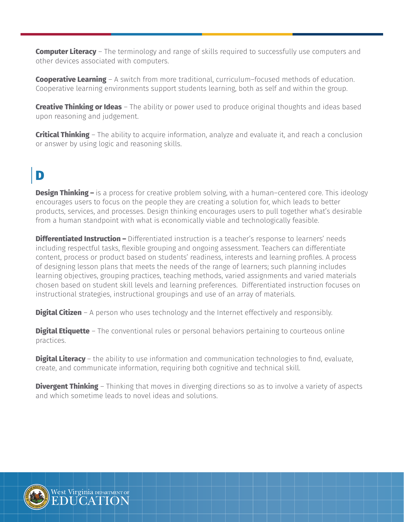**Computer Literacy** – The terminology and range of skills required to successfully use computers and other devices associated with computers.

**Cooperative Learning** – A switch from more traditional, curriculum–focused methods of education. Cooperative learning environments support students learning, both as self and within the group.

**Creative Thinking or Ideas** – The ability or power used to produce original thoughts and ideas based upon reasoning and judgement.

**Critical Thinking** – The ability to acquire information, analyze and evaluate it, and reach a conclusion or answer by using logic and reasoning skills.

# D

**Design Thinking –** is a process for creative problem solving, with a human–centered core. This ideology encourages users to focus on the people they are creating a solution for, which leads to better products, services, and processes. Design thinking encourages users to pull together what's desirable from a human standpoint with what is economically viable and technologically feasible.

**Differentiated Instruction –** Differentiated instruction is a teacher's response to learners' needs including respectful tasks, flexible grouping and ongoing assessment. Teachers can differentiate content, process or product based on students' readiness, interests and learning profiles. A process of designing lesson plans that meets the needs of the range of learners; such planning includes learning objectives, grouping practices, teaching methods, varied assignments and varied materials chosen based on student skill levels and learning preferences. Differentiated instruction focuses on instructional strategies, instructional groupings and use of an array of materials.

**Digital Citizen** – A person who uses technology and the Internet effectively and responsibly.

**Digital Etiquette** – The conventional rules or personal behaviors pertaining to courteous online practices.

**Digital Literacy** – the ability to use information and communication technologies to find, evaluate, create, and communicate information, requiring both cognitive and technical skill.

**Divergent Thinking** – Thinking that moves in diverging directions so as to involve a variety of aspects and which sometime leads to novel ideas and solutions.

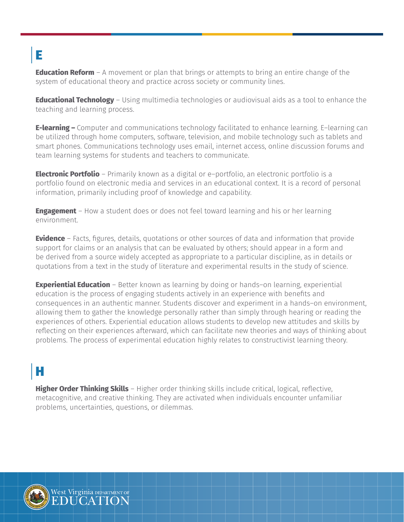# E

**Education Reform** – A movement or plan that brings or attempts to bring an entire change of the system of educational theory and practice across society or community lines.

**Educational Technology** – Using multimedia technologies or audiovisual aids as a tool to enhance the teaching and learning process.

**E-learning –** Computer and communications technology facilitated to enhance learning. E–learning can be utilized through home computers, software, television, and mobile technology such as tablets and smart phones. Communications technology uses email, internet access, online discussion forums and team learning systems for students and teachers to communicate.

**Electronic Portfolio** – Primarily known as a digital or e–portfolio, an electronic portfolio is a portfolio found on electronic media and services in an educational context. It is a record of personal information, primarily including proof of knowledge and capability.

**Engagement** – How a student does or does not feel toward learning and his or her learning environment.

**Evidence** – Facts, figures, details, quotations or other sources of data and information that provide support for claims or an analysis that can be evaluated by others; should appear in a form and be derived from a source widely accepted as appropriate to a particular discipline, as in details or quotations from a text in the study of literature and experimental results in the study of science.

**Experiential Education** – Better known as learning by doing or hands–on learning, experiential education is the process of engaging students actively in an experience with benefits and consequences in an authentic manner. Students discover and experiment in a hands–on environment, allowing them to gather the knowledge personally rather than simply through hearing or reading the experiences of others. Experiential education allows students to develop new attitudes and skills by reflecting on their experiences afterward, which can facilitate new theories and ways of thinking about problems. The process of experimental education highly relates to constructivist learning theory.

#### H

**Higher Order Thinking Skills** – Higher order thinking skills include critical, logical, reflective, metacognitive, and creative thinking. They are activated when individuals encounter unfamiliar problems, uncertainties, questions, or dilemmas.

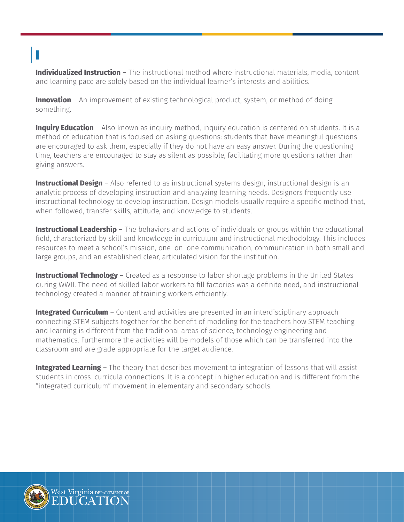# I

**Individualized Instruction** – The instructional method where instructional materials, media, content and learning pace are solely based on the individual learner's interests and abilities.

**Innovation** – An improvement of existing technological product, system, or method of doing something.

**Inquiry Education** – Also known as inquiry method, inquiry education is centered on students. It is a method of education that is focused on asking questions: students that have meaningful questions are encouraged to ask them, especially if they do not have an easy answer. During the questioning time, teachers are encouraged to stay as silent as possible, facilitating more questions rather than giving answers.

**Instructional Design** – Also referred to as instructional systems design, instructional design is an analytic process of developing instruction and analyzing learning needs. Designers frequently use instructional technology to develop instruction. Design models usually require a specific method that, when followed, transfer skills, attitude, and knowledge to students.

**Instructional Leadership** – The behaviors and actions of individuals or groups within the educational field, characterized by skill and knowledge in curriculum and instructional methodology. This includes resources to meet a school's mission, one–on–one communication, communication in both small and large groups, and an established clear, articulated vision for the institution.

**Instructional Technology** – Created as a response to labor shortage problems in the United States during WWII. The need of skilled labor workers to fill factories was a definite need, and instructional technology created a manner of training workers efficiently.

**Integrated Curriculum** – Content and activities are presented in an interdisciplinary approach connecting STEM subjects together for the benefit of modeling for the teachers how STEM teaching and learning is different from the traditional areas of science, technology engineering and mathematics. Furthermore the activities will be models of those which can be transferred into the classroom and are grade appropriate for the target audience.

**Integrated Learning** – The theory that describes movement to integration of lessons that will assist students in cross–curricula connections. It is a concept in higher education and is different from the "integrated curriculum" movement in elementary and secondary schools.

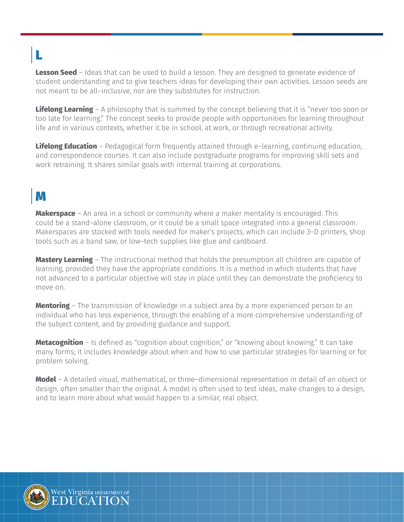# L

**Lesson Seed** - Ideas that can be used to build a lesson. They are designed to generate evidence of student understanding and to give teachers ideas for developing their own activities. Lesson seeds are not meant to be all–inclusive, nor are they substitutes for instruction.

**Lifelong Learning** – A philosophy that is summed by the concept believing that it is "never too soon or too late for learning." The concept seeks to provide people with opportunities for learning throughout life and in various contexts, whether it be in school, at work, or through recreational activity.

**Lifelong Education** – Pedagogical form frequently attained through e–learning, continuing education, and correspondence courses. It can also include postgraduate programs for improving skill sets and work retraining. It shares similar goals with internal training at corporations.

#### M

**Makerspace** – An area in a school or community where a maker mentality is encouraged. This could be a stand–alone classroom, or it could be a small space integrated into a general classroom. Makerspaces are stocked with tools needed for maker's projects, which can include 3–D printers, shop tools such as a band saw, or low–tech supplies like glue and cardboard.

**Mastery Learning** – The instructional method that holds the presumption all children are capable of learning, provided they have the appropriate conditions. It is a method in which students that have not advanced to a particular objective will stay in place until they can demonstrate the proficiency to move on.

**Mentoring** – The transmission of knowledge in a subject area by a more experienced person to an individual who has less experience, through the enabling of a more comprehensive understanding of the subject content, and by providing guidance and support.

**Metacognition** – Is defined as "cognition about cognition," or "knowing about knowing." It can take many forms; it includes knowledge about when and how to use particular strategies for learning or for problem solving.

**Model** – A detailed visual, mathematical, or three–dimensional representation in detail of an object or design, often smaller than the original. A model is often used to test ideas, make changes to a design, and to learn more about what would happen to a similar, real object.

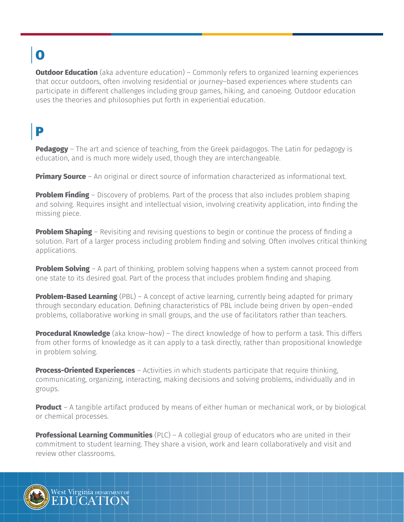# O

**Outdoor Education** (aka adventure education) - Commonly refers to organized learning experiences that occur outdoors, often involving residential or journey–based experiences where students can participate in different challenges including group games, hiking, and canoeing. Outdoor education uses the theories and philosophies put forth in experiential education.

## P

**Pedagogy** – The art and science of teaching, from the Greek paidagogos. The Latin for pedagogy is education, and is much more widely used, though they are interchangeable.

**Primary Source** – An original or direct source of information characterized as informational text.

**Problem Finding** – Discovery of problems. Part of the process that also includes problem shaping and solving. Requires insight and intellectual vision, involving creativity application, into finding the missing piece.

**Problem Shaping** – Revisiting and revising questions to begin or continue the process of finding a solution. Part of a larger process including problem finding and solving. Often involves critical thinking applications.

**Problem Solving** – A part of thinking, problem solving happens when a system cannot proceed from one state to its desired goal. Part of the process that includes problem finding and shaping.

**Problem-Based Learning** (PBL) – A concept of active learning, currently being adapted for primary through secondary education. Defining characteristics of PBL include being driven by open–ended problems, collaborative working in small groups, and the use of facilitators rather than teachers.

**Procedural Knowledge** (aka know–how) – The direct knowledge of how to perform a task. This differs from other forms of knowledge as it can apply to a task directly, rather than propositional knowledge in problem solving.

**Process-Oriented Experiences** – Activities in which students participate that require thinking, communicating, organizing, interacting, making decisions and solving problems, individually and in groups.

**Product** – A tangible artifact produced by means of either human or mechanical work, or by biological or chemical processes.

**Professional Learning Communities** (PLC) – A collegial group of educators who are united in their commitment to student learning. They share a vision, work and learn collaboratively and visit and review other classrooms.

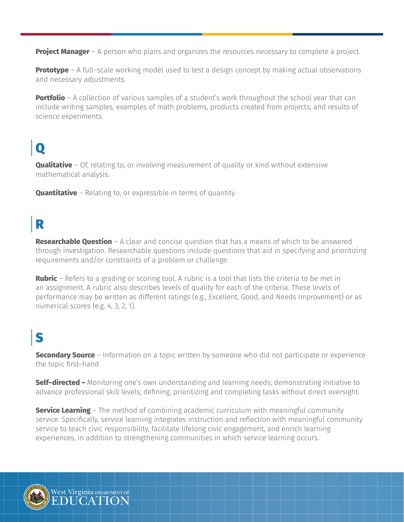**Project Manager** – A person who plans and organizes the resources necessary to complete a project.

**Prototype** – A full–scale working model used to test a design concept by making actual observations and necessary adjustments.

**Portfolio** – A collection of various samples of a student's work throughout the school year that can include writing samples, examples of math problems, products created from projects, and results of science experiments.

# $\mathbf 0$

**Qualitative** – Of, relating to, or involving measurement of quality or kind without extensive mathematical analysis.

**Quantitative** – Relating to, or expressible in terms of quantity.

#### R

**Researchable Question** – A clear and concise question that has a means of which to be answered through investigation. Researchable questions include questions that aid in specifying and prioritizing requirements and/or constraints of a problem or challenge.

**Rubric** – Refers to a grading or scoring tool. A rubric is a tool that lists the criteria to be met in an assignment. A rubric also describes levels of quality for each of the criteria. These levels of performance may be written as different ratings (e.g., Excellent, Good, and Needs Improvement) or as numerical scores (e.g. 4, 3, 2, 1).

#### S

**Secondary Source** – Information on a topic written by someone who did not participate or experience the topic first–hand

**Self–directed –** Monitoring one's own understanding and learning needs; demonstrating initiative to advance professional skill levels; defining, prioritizing and completing tasks without direct oversight.

**Service Learning** – The method of combining academic curriculum with meaningful community service. Specifically, service learning integrates instruction and reflection with meaningful community service to teach civic responsibility, facilitate lifelong civic engagement, and enrich learning experiences, in addition to strengthening communities in which service learning occurs.

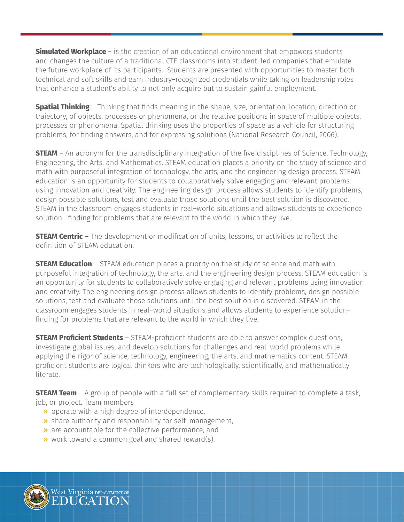**Simulated Workplace** – is the creation of an educational environment that empowers students and changes the culture of a traditional CTE classrooms into student–led companies that emulate the future workplace of its participants. Students are presented with opportunities to master both technical and soft skills and earn industry–recognized credentials while taking on leadership roles that enhance a student's ability to not only acquire but to sustain gainful employment.

**Spatial Thinking** – Thinking that finds meaning in the shape, size, orientation, location, direction or trajectory, of objects, processes or phenomena, or the relative positions in space of multiple objects, processes or phenomena. Spatial thinking uses the properties of space as a vehicle for structuring problems, for finding answers, and for expressing solutions (National Research Council, 2006).

**STEAM** – An acronym for the transdisciplinary integration of the five disciplines of Science, Technology, Engineering, the Arts, and Mathematics. STEAM education places a priority on the study of science and math with purposeful integration of technology, the arts, and the engineering design process. STEAM education is an opportunity for students to collaboratively solve engaging and relevant problems using innovation and creativity. The engineering design process allows students to identify problems, design possible solutions, test and evaluate those solutions until the best solution is discovered. STEAM in the classroom engages students in real–world situations and allows students to experience solution– finding for problems that are relevant to the world in which they live.

**STEAM Centric** – The development or modification of units, lessons, or activities to reflect the definition of STEAM education.

**STEAM Education** – STEAM education places a priority on the study of science and math with purposeful integration of technology, the arts, and the engineering design process. STEAM education is an opportunity for students to collaboratively solve engaging and relevant problems using innovation and creativity. The engineering design process allows students to identify problems, design possible solutions, test and evaluate those solutions until the best solution is discovered. STEAM in the classroom engages students in real–world situations and allows students to experience solution– finding for problems that are relevant to the world in which they live.

**STEAM Proficient Students** – STEAM-proficient students are able to answer complex questions, investigate global issues, and develop solutions for challenges and real–world problems while applying the rigor of science, technology, engineering, the arts, and mathematics content. STEAM proficient students are logical thinkers who are technologically, scientifically, and mathematically literate.

**STEAM Team** – A group of people with a full set of complementary skills required to complete a task, job, or project. Team members

- » operate with a high degree of interdependence,
- » share authority and responsibility for self–management,
- » are accountable for the collective performance, and
- » work toward a common goal and shared reward(s).